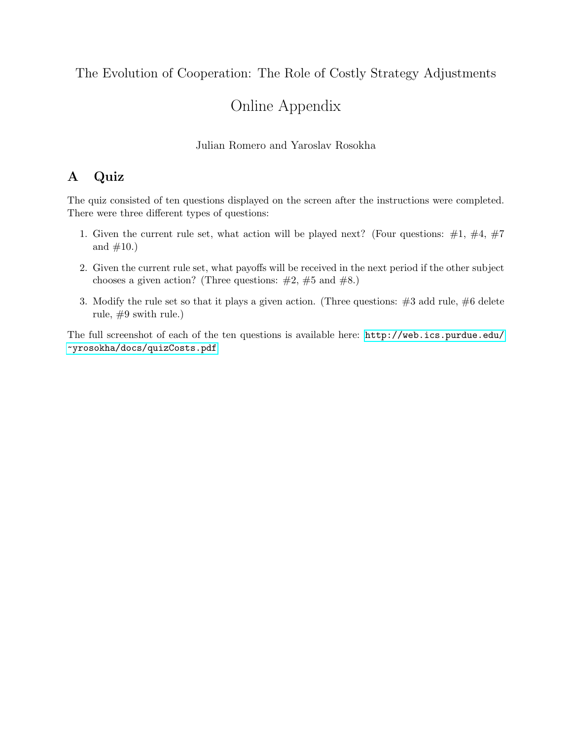## The Evolution of Cooperation: The Role of Costly Strategy Adjustments

# Online Appendix

### Julian Romero and Yaroslav Rosokha

## A Quiz

The quiz consisted of ten questions displayed on the screen after the instructions were completed. There were three different types of questions:

- 1. Given the current rule set, what action will be played next? (Four questions:  $\#1, \#4, \#7$ and  $#10.$ )
- 2. Given the current rule set, what payoffs will be received in the next period if the other subject chooses a given action? (Three questions:  $\#2$ ,  $\#5$  and  $\#8$ .)
- 3. Modify the rule set so that it plays a given action. (Three questions:  $\#3$  add rule,  $\#6$  delete rule, #9 swith rule.)

The full screenshot of each of the ten questions is available here: [http://web.ics.purdue.edu/](http://web.ics.purdue.edu/~yrosokha/docs/quizCosts.pdf) [~yrosokha/docs/quizCosts.pdf](http://web.ics.purdue.edu/~yrosokha/docs/quizCosts.pdf)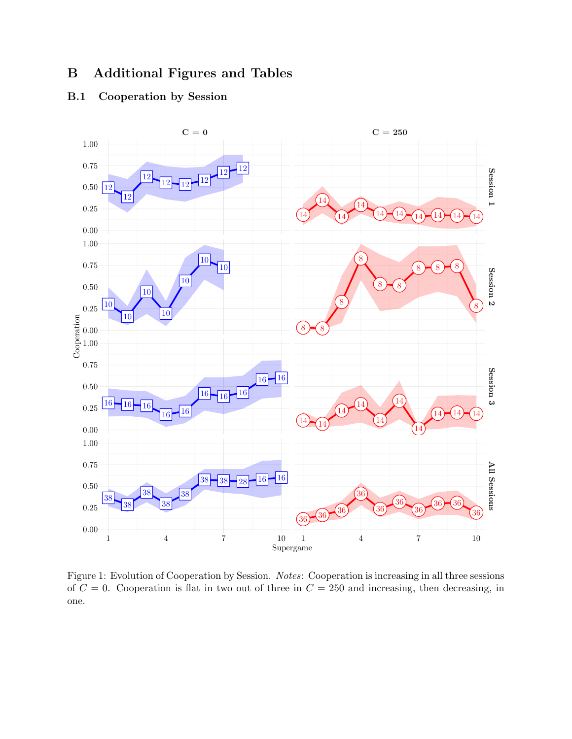## B Additional Figures and Tables

### B.1 Cooperation by Session



Figure 1: Evolution of Cooperation by Session. Notes: Cooperation is increasing in all three sessions of  $C = 0$ . Cooperation is flat in two out of three in  $C = 250$  and increasing, then decreasing, in one.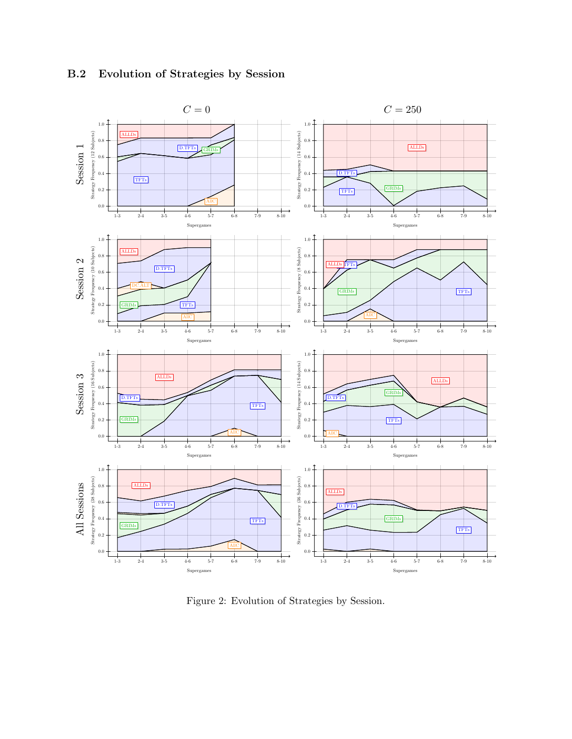

### B.2 Evolution of Strategies by Session

Figure 2: Evolution of Strategies by Session.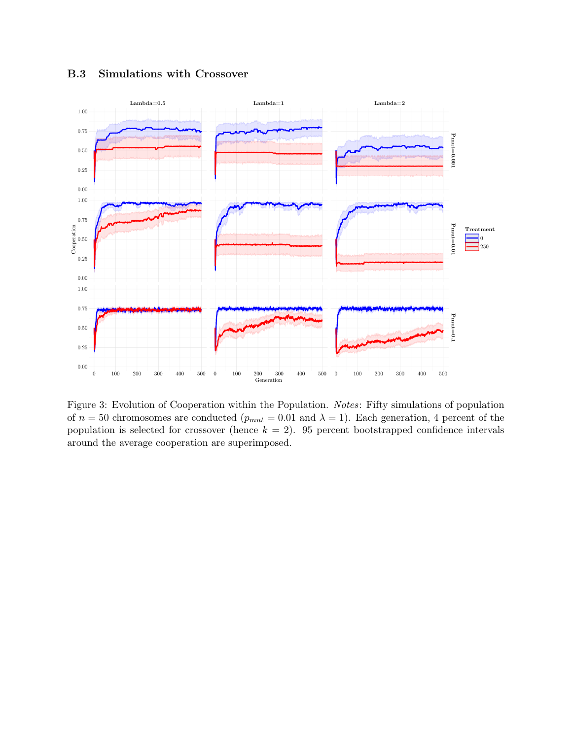

B.3 Simulations with Crossover

Figure 3: Evolution of Cooperation within the Population. Notes: Fifty simulations of population of  $n = 50$  chromosomes are conducted  $(p_{mut} = 0.01$  and  $\lambda = 1)$ . Each generation, 4 percent of the population is selected for crossover (hence  $k = 2$ ). 95 percent bootstrapped confidence intervals around the average cooperation are superimposed.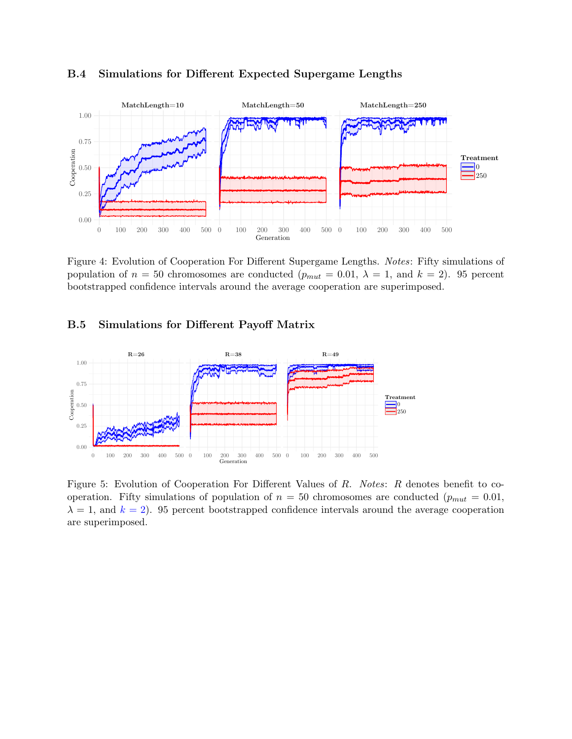

#### B.4 Simulations for Different Expected Supergame Lengths

Figure 4: Evolution of Cooperation For Different Supergame Lengths. Notes: Fifty simulations of population of  $n = 50$  chromosomes are conducted  $(p_{mut} = 0.01, \lambda = 1, \text{ and } k = 2)$ . 95 percent bootstrapped confidence intervals around the average cooperation are superimposed.

#### B.5 Simulations for Different Payoff Matrix



Figure 5: Evolution of Cooperation For Different Values of R. Notes: R denotes benefit to cooperation. Fifty simulations of population of  $n = 50$  chromosomes are conducted ( $p_{mut} = 0.01$ ,  $\lambda = 1$ , and  $k = 2$ ). 95 percent bootstrapped confidence intervals around the average cooperation are superimposed.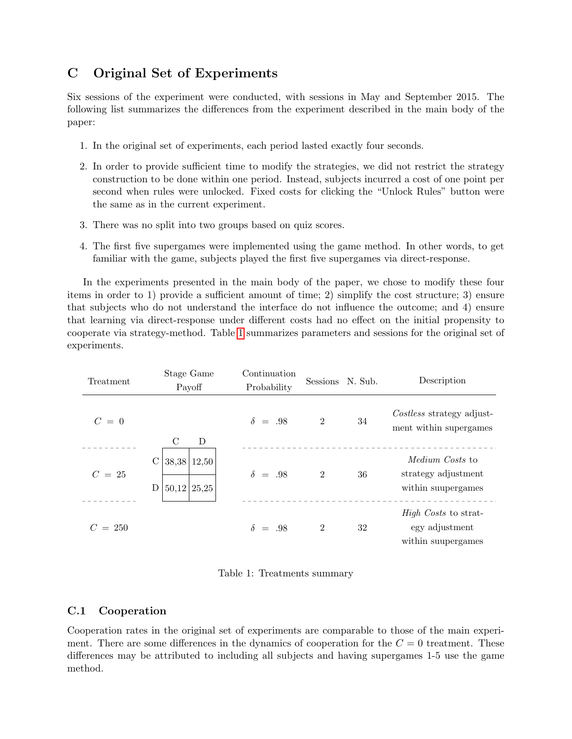## C Original Set of Experiments

Six sessions of the experiment were conducted, with sessions in May and September 2015. The following list summarizes the differences from the experiment described in the main body of the paper:

- 1. In the original set of experiments, each period lasted exactly four seconds.
- 2. In order to provide sufficient time to modify the strategies, we did not restrict the strategy construction to be done within one period. Instead, subjects incurred a cost of one point per second when rules were unlocked. Fixed costs for clicking the "Unlock Rules" button were the same as in the current experiment.
- 3. There was no split into two groups based on quiz scores.
- 4. The first five supergames were implemented using the game method. In other words, to get familiar with the game, subjects played the first five supergames via direct-response.

In the experiments presented in the main body of the paper, we chose to modify these four items in order to 1) provide a sufficient amount of time; 2) simplify the cost structure; 3) ensure that subjects who do not understand the interface do not influence the outcome; and 4) ensure that learning via direct-response under different costs had no effect on the initial propensity to cooperate via strategy-method. Table [1](#page-5-0) summarizes parameters and sessions for the original set of experiments.

| Treatment | Stage Game<br>Payoff                     | Continuation<br>Probability | Sessions N. Sub. |    | Description                                                         |
|-----------|------------------------------------------|-----------------------------|------------------|----|---------------------------------------------------------------------|
| $C = 0$   | $\mathcal{C}$<br>D                       | $\delta = .98$              | $\overline{2}$   | 34 | Costless strategy adjust-<br>ment within supergames                 |
| $C = 25$  | С<br>$38,38$ 12,50<br>D<br>$50,12$ 25,25 | $\delta = .98$              | $\overline{2}$   | 36 | <i>Medium Costs</i> to<br>strategy adjustment<br>within suupergames |
| $C = 250$ |                                          | $\delta = .98$              | $\overline{2}$   | 32 | <i>High Costs</i> to strat-<br>egy adjustment<br>within suupergames |

<span id="page-5-0"></span>Table 1: Treatments summary

### C.1 Cooperation

Cooperation rates in the original set of experiments are comparable to those of the main experiment. There are some differences in the dynamics of cooperation for the  $C = 0$  treatment. These differences may be attributed to including all subjects and having supergames 1-5 use the game method.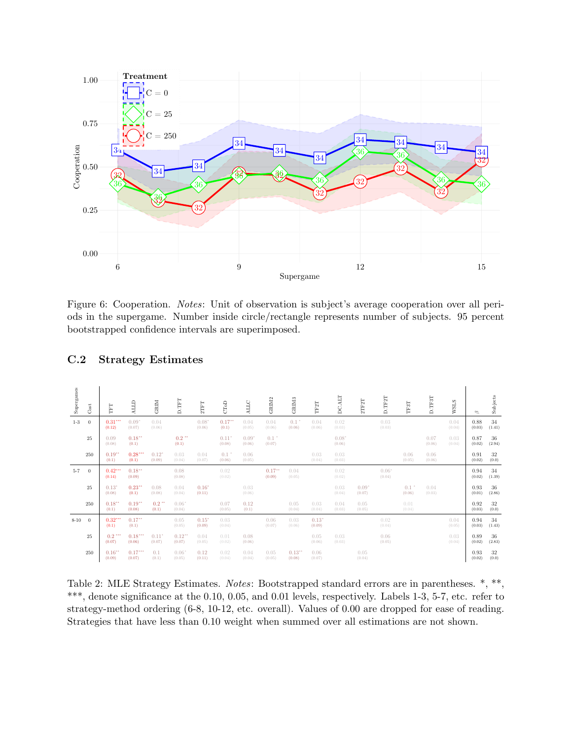

Figure 6: Cooperation. Notes: Unit of observation is subject's average cooperation over all periods in the supergame. Number inside circle/rectangle represents number of subjects. 95 percent bootstrapped confidence intervals are superimposed.

| Supergames | $\rm Cost$     | E                              | <b>GTTN</b>                   | GRIM                          | D.TFT              | $2\mathrm{TFT}$    | CToD                                      | ALLC              | GRIM2                        | GRIM <sub>3</sub>              | TF2T              | <b>ALT</b><br>ď.  | 2TF2T             | D.TF2T            | TF3T           | D.TF3T         | <b>WSLS</b>    | ⇘              | Subjects     |
|------------|----------------|--------------------------------|-------------------------------|-------------------------------|--------------------|--------------------|-------------------------------------------|-------------------|------------------------------|--------------------------------|-------------------|-------------------|-------------------|-------------------|----------------|----------------|----------------|----------------|--------------|
| $1-3$      | $\overline{0}$ | 0.31<br>(0.12)                 | $0.09*$<br>(0.07)             | 0.04<br>(0.06)                |                    | $0.08*$<br>(0.06)  | 0.17<br>(0.1)                             | 0.04<br>(0.05)    | 0.04<br>(0.06)               | $0.1 +$<br>(0.06)              | 0.04<br>(0.06)    | 0.02<br>(0.03)    |                   | 0.03<br>(0.03)    |                |                | 0.04<br>(0.04) | 0.88<br>(0.03) | 34<br>(1.41) |
|            | 25             | 0.09<br>(0.08)                 | 0.18<br>(0.1)                 |                               | $0.2$ **<br>(0.1)  |                    | $0.11$ <sup>*</sup><br>(0.08)             | $0.09*$<br>(0.06) | $0.1$ <sup>*</sup><br>(0.07) |                                |                   | $0.08*$<br>(0.06) |                   |                   |                | 0.07<br>(0.06) | 0.03<br>(0.04) | 0.87<br>(0.02) | 36<br>(2.94) |
|            | 250            | $0.19$ <sup>**</sup><br>(0.1)  | 0.28<br>(0.1)                 | $0.12^{*}$<br>(0.09)          | 0.03<br>(0.04)     | 0.04<br>(0.07)     | $0.1$ <sup><math>+</math></sup><br>(0.06) | 0.06<br>(0.05)    |                              |                                | 0.03<br>(0.04)    | 0.03<br>(0.03)    |                   |                   | 0.06<br>(0.05) | 0.06<br>(0.06) |                | 0.91<br>(0.02) | 32<br>(0.0)  |
| $5 - 7$    | $\overline{0}$ | 0.42<br>(0.14)                 | 0.18<br>(0.09)                |                               | 0.08<br>(0.08)     |                    | 0.02<br>(0.02)                            |                   | 0.17<br>(0.09)               | 0.04<br>(0.05)                 |                   | 0.02<br>(0.02)    |                   | $0.06*$<br>(0.04) |                |                |                | 0.94<br>(0.02) | 34<br>(1.39) |
|            | 25             | $0.13*$<br>(0.08)              | $0.23$ <sup>**</sup><br>(0.1) | 0.08<br>(0.08)                | 0.04<br>(0.04)     | $0.16*$<br>(0.11)  |                                           | 0.03<br>(0.06)    |                              |                                |                   | 0.03<br>(0.04)    | $0.09*$<br>(0.07) |                   | 0.1<br>(0.06)  | 0.04<br>(0.03) |                | 0.93<br>(0.01) | 36<br>(2.86) |
|            | 250            | 0.18<br>(0.1)                  | 0.19<br>(0.08)                | $0.2$ **<br>(0.1)             | $0.06*$<br>(0.04)  |                    | 0.07<br>(0.05)                            | 0.12<br>(0.1)     |                              | 0.05<br>(0.04)                 | 0.03<br>(0.04)    | 0.04<br>(0.03)    | 0.05<br>(0.05)    |                   | 0.01<br>(0.04) |                |                | 0.92<br>(0.03) | 32<br>(0.0)  |
| $8 - 10$   | $\theta$       | 0.32<br>(0.1)                  | 0.17<br>(0.1)                 |                               | 0.05<br>(0.05)     | $0.15^*$<br>(0.09) | 0.03<br>(0.04)                            |                   | 0.06<br>(0.07)               | 0.03<br>(0.06)                 | $0.13*$<br>(0.09) |                   |                   | 0.02<br>(0.04)    |                |                | 0.04<br>(0.05) | 0.94<br>(0.03) | 34<br>(1.43) |
|            | 25             | $0.2$ ***<br>(0.07)            | 0.18<br>(0.06)                | $0.11$ <sup>*</sup><br>(0.07) | $0.12**$<br>(0.07) | 0.04<br>(0.05)     | 0.01<br>(0.02)                            | 0.08<br>(0.06)    |                              |                                | 0.05<br>(0.06)    | 0.03<br>(0.03)    |                   | 0.06<br>(0.05)    |                |                | 0.03<br>(0.04) | 0.89<br>(0.02) | 36<br>(2.83) |
|            | 250            | $0.16$ <sup>**</sup><br>(0.09) | 0.17<br>(0.07)                | 0.1<br>(0.1)                  | $0.06*$<br>(0.05)  | 0.12<br>(0.11)     | 0.02<br>(0.04)                            | 0.04<br>(0.04)    | 0.05<br>(0.05)               | $0.13$ <sup>**</sup><br>(0.08) | 0.06<br>(0.07)    |                   | 0.05<br>(0.04)    |                   |                |                |                | 0.93<br>(0.02) | 32<br>(0.0)  |

### C.2 Strategy Estimates

Table 2: MLE Strategy Estimates. Notes: Bootstrapped standard errors are in parentheses. \*, \*\*, \*\*\*, denote significance at the 0.10, 0.05, and 0.01 levels, respectively. Labels 1-3, 5-7, etc. refer to strategy-method ordering (6-8, 10-12, etc. overall). Values of 0.00 are dropped for ease of reading. Strategies that have less than 0.10 weight when summed over all estimations are not shown.